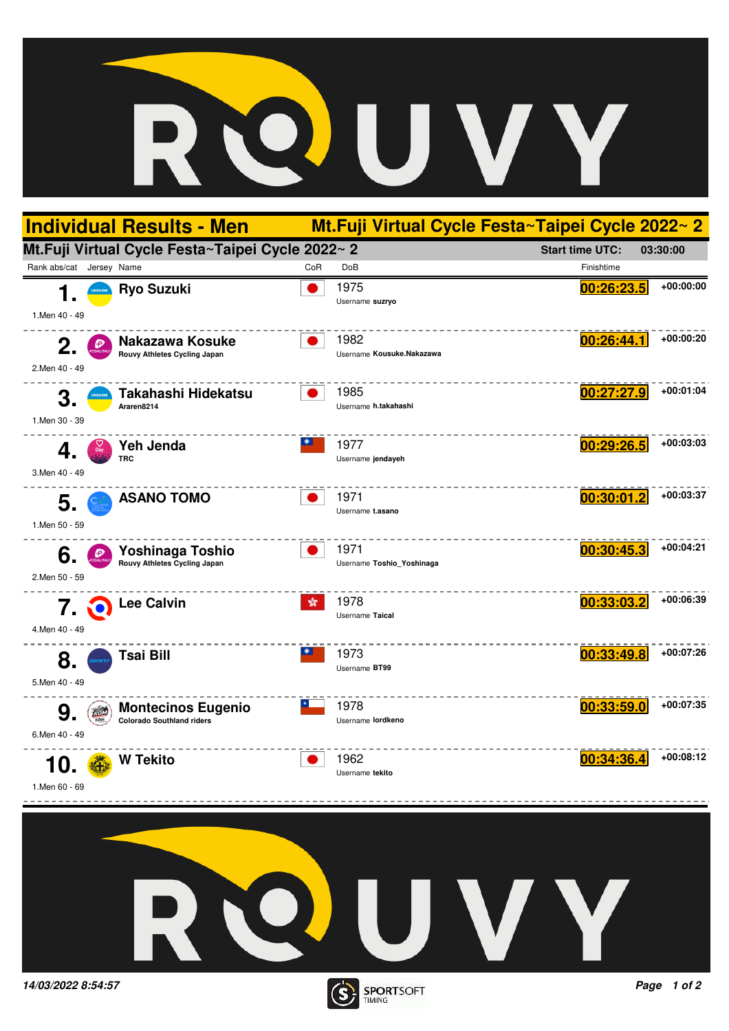